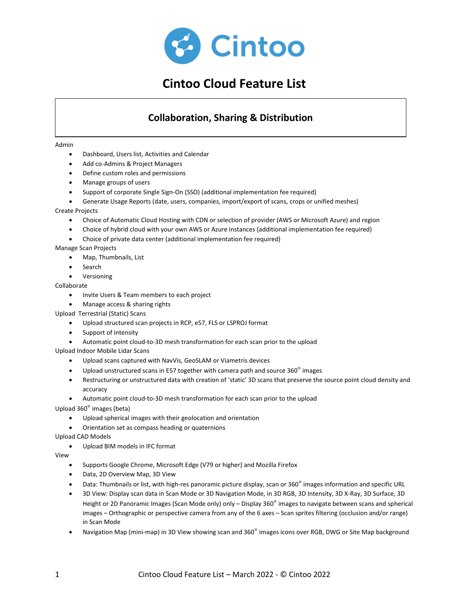

# **Cintoo Cloud Feature List**

# **Collaboration, Sharing & Distribution**

#### Admin

- Dashboard, Users list, Activities and Calendar
- Add co-Admins & Project Managers
- Define custom roles and permissions
- Manage groups of users
- Support of corporate Single Sign-On (SSO) (additional implementation fee required)
- Generate Usage Reports (date, users, companies, import/export of scans, crops or unified meshes)

#### Create Projects

- Choice of Automatic Cloud Hosting with CDN or selection of provider (AWS or Microsoft Azure) and region
- Choice of hybrid cloud with your own AWS or Azure instances (additional implementation fee required)
- Choice of private data center (additional implementation fee required)

#### Manage Scan Projects

- Map, Thumbnails, List
- **Search**
- **Versioning**

#### Collaborate

- Invite Users & Team members to each project
- Manage access & sharing rights
- Upload Terrestrial (Static) Scans
	- Upload structured scan projects in RCP, e57, FLS or LSPROJ format
	- Support of intensity
	- Automatic point cloud-to-3D mesh transformation for each scan prior to the upload

Upload Indoor Mobile Lidar Scans

- Upload scans captured with NavVis, GeoSLAM or Viametris devices
- Upload unstructured scans in E57 together with camera path and source  $360^{\circ}$  images
- Restructuring or unstructured data with creation of 'static' 3D scans that preserve the source point cloud density and accuracy
- Automatic point cloud-to-3D mesh transformation for each scan prior to the upload

Upload 360° images (beta)

- Upload spherical images with their geolocation and orientation
- Orientation set as compass heading or quaternions

Upload CAD Models

• Upload BIM models in IFC format

#### View

- Supports Google Chrome, Microsoft Edge (V79 or higher) and Mozilla Firefox
- Data, 2D Overview Map, 3D View
- Data: Thumbnails or list, with high-res panoramic picture display, scan or 360° images information and specific URL
- 3D View: Display scan data in Scan Mode or 3D Navigation Mode, in 3D RGB, 3D Intensity, 3D X-Ray, 3D Surface, 3D Height or 2D Panoramic Images (Scan Mode only) only – Display 360<sup>°</sup> images to navigate between scans and spherical images – Orthographic or perspective camera from any of the 6 axes – Scan sprites filtering (occlusion and/or range) in Scan Mode
- Navigation Map (mini-map) in 3D View showing scan and 360° images icons over RGB, DWG or Site Map background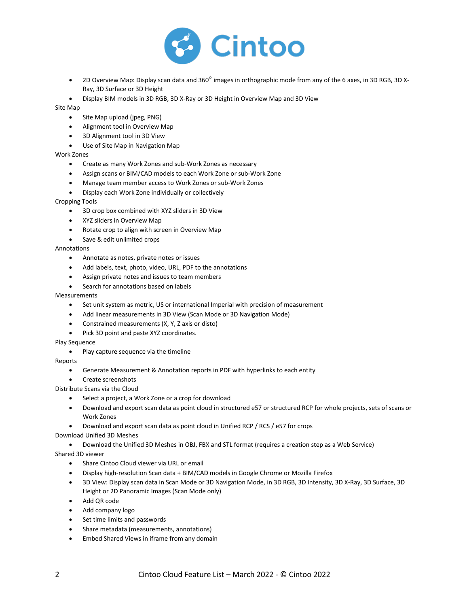

• 2D Overview Map: Display scan data and 360° images in orthographic mode from any of the 6 axes, in 3D RGB, 3D X-Ray, 3D Surface or 3D Height

• Display BIM models in 3D RGB, 3D X-Ray or 3D Height in Overview Map and 3D View

#### Site Map

- Site Map upload (jpeg, PNG)
- Alignment tool in Overview Map
- 3D Alignment tool in 3D View
- Use of Site Map in Navigation Map

#### Work Zones

- Create as many Work Zones and sub-Work Zones as necessary
- Assign scans or BIM/CAD models to each Work Zone or sub-Work Zone
- Manage team member access to Work Zones or sub-Work Zones
- Display each Work Zone individually or collectively

#### Cropping Tools

- 3D crop box combined with XYZ sliders in 3D View
- XYZ sliders in Overview Map
- Rotate crop to align with screen in Overview Map
- Save & edit unlimited crops

#### Annotations

- Annotate as notes, private notes or issues
- Add labels, text, photo, video, URL, PDF to the annotations
- Assign private notes and issues to team members
- Search for annotations based on labels

#### Measurements

- Set unit system as metric, US or international Imperial with precision of measurement
- Add linear measurements in 3D View (Scan Mode or 3D Navigation Mode)
- Constrained measurements (X, Y, Z axis or disto)
- Pick 3D point and paste XYZ coordinates.

#### Play Sequence

Play capture sequence via the timeline

#### Reports

- Generate Measurement & Annotation reports in PDF with hyperlinks to each entity
- Create screenshots
- Distribute Scans via the Cloud
	- Select a project, a Work Zone or a crop for download
	- Download and export scan data as point cloud in structured e57 or structured RCP for whole projects, sets of scans or Work Zones
	- Download and export scan data as point cloud in Unified RCP / RCS / e57 for crops

Download Unified 3D Meshes

• Download the Unified 3D Meshes in OBJ, FBX and STL format (requires a creation step as a Web Service)

#### Shared 3D viewer

- Share Cintoo Cloud viewer via URL or email
- Display high-resolution Scan data + BIM/CAD models in Google Chrome or Mozilla Firefox
- 3D View: Display scan data in Scan Mode or 3D Navigation Mode, in 3D RGB, 3D Intensity, 3D X-Ray, 3D Surface, 3D Height or 2D Panoramic Images (Scan Mode only)
- Add QR code
- Add company logo
- Set time limits and passwords
- Share metadata (measurements, annotations)
- Embed Shared Views in iframe from any domain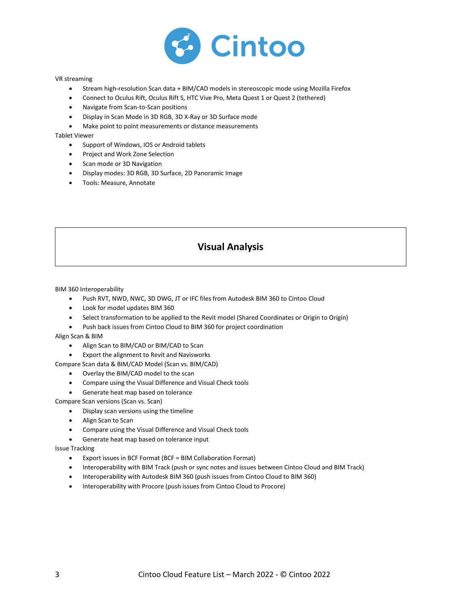

#### VR streaming

- Stream high-resolution Scan data + BIM/CAD models in stereoscopic mode using Mozilla Firefox
- Connect to Oculus Rift, Oculus Rift S, HTC Vive Pro, Meta Quest 1 or Quest 2 (tethered)
- Navigate from Scan-to-Scan positions
- Display in Scan Mode in 3D RGB, 3D X-Ray or 3D Surface mode
- Make point to point measurements or distance measurements

Tablet Viewer

- Support of Windows, IOS or Android tablets
- Project and Work Zone Selection
- Scan mode or 3D Navigation
- Display modes: 3D RGB, 3D Surface, 2D Panoramic Image
- Tools: Measure, Annotate

# **Visual Analysis**

BIM 360 Interoperability

- Push RVT, NWD, NWC, 3D DWG, JT or IFC files from Autodesk BIM 360 to Cintoo Cloud
- Look for model updates BIM 360
- Select transformation to be applied to the Revit model (Shared Coordinates or Origin to Origin)
- Push back issues from Cintoo Cloud to BIM 360 for project coordination

Align Scan & BIM

• Align Scan to BIM/CAD or BIM/CAD to Scan

• Export the alignment to Revit and Navisworks

Compare Scan data & BIM/CAD Model (Scan vs. BIM/CAD)

- Overlay the BIM/CAD model to the scan
- Compare using the Visual Difference and Visual Check tools
- Generate heat map based on tolerance

Compare Scan versions (Scan vs. Scan)

- Display scan versions using the timeline
- Align Scan to Scan
- Compare using the Visual Difference and Visual Check tools
- Generate heat map based on tolerance input

Issue Tracking

- Export issues in BCF Format (BCF = BIM Collaboration Format)
- Interoperability with BIM Track (push or sync notes and issues between Cintoo Cloud and BIM Track)
- Interoperability with Autodesk BIM 360 (push issues from Cintoo Cloud to BIM 360)
- Interoperability with Procore (push issues from Cintoo Cloud to Procore)